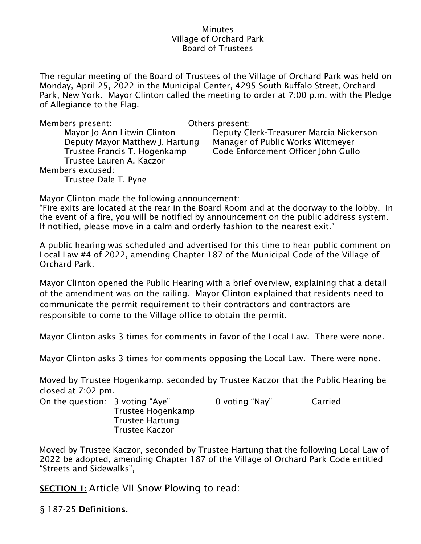### **Minutes** Village of Orchard Park Board of Trustees

The regular meeting of the Board of Trustees of the Village of Orchard Park was held on Monday, April 25, 2022 in the Municipal Center, 4295 South Buffalo Street, Orchard Park, New York. Mayor Clinton called the meeting to order at 7:00 p.m. with the Pledge of Allegiance to the Flag.

| Members present:                | Others present: |
|---------------------------------|-----------------|
| Mayor Jo Ann Litwin Clinton     | Deputy C        |
| Deputy Mayor Matthew J. Hartung | Manager         |
| Trustee Francis T. Hogenkamp    | Code Enfo       |
| Trustee Lauren A. Kaczor        |                 |
| Members excused:                |                 |
| Trustee Dale T. Pyne            |                 |

 $\mathop{\mathsf{v}}\nolimits$ outy Clerk-Treasurer Marcia Nickerson anager of Public Works Wittmeyer de Enforcement Officer John Gullo

Mayor Clinton made the following announcement:

"Fire exits are located at the rear in the Board Room and at the doorway to the lobby. In the event of a fire, you will be notified by announcement on the public address system. If notified, please move in a calm and orderly fashion to the nearest exit."

A public hearing was scheduled and advertised for this time to hear public comment on Local Law #4 of 2022, amending Chapter 187 of the Municipal Code of the Village of Orchard Park.

Mayor Clinton opened the Public Hearing with a brief overview, explaining that a detail of the amendment was on the railing. Mayor Clinton explained that residents need to communicate the permit requirement to their contractors and contractors are responsible to come to the Village office to obtain the permit.

Mayor Clinton asks 3 times for comments in favor of the Local Law. There were none.

Mayor Clinton asks 3 times for comments opposing the Local Law. There were none.

Moved by Trustee Hogenkamp, seconded by Trustee Kaczor that the Public Hearing be closed at 7:02 pm.

| On the question: 3 voting "Aye" |                        | 0 voting "Nay" | Carried |
|---------------------------------|------------------------|----------------|---------|
|                                 | Trustee Hogenkamp      |                |         |
|                                 | <b>Trustee Hartung</b> |                |         |
|                                 | <b>Trustee Kaczor</b>  |                |         |

Moved by Trustee Kaczor, seconded by Trustee Hartung that the following Local Law of 2022 be adopted, amending Chapter 187 of the Village of Orchard Park Code entitled "Streets and Sidewalks",

**SECTION 1:** Article VII Snow Plowing to read:

§ [187-25](https://ecode360.com/13952589?highlight=snow%20plowing&searchId=4570939250775856#36105769) **[Definitions.](https://ecode360.com/13952589?highlight=snow%20plowing&searchId=4570939250775856#36105769)**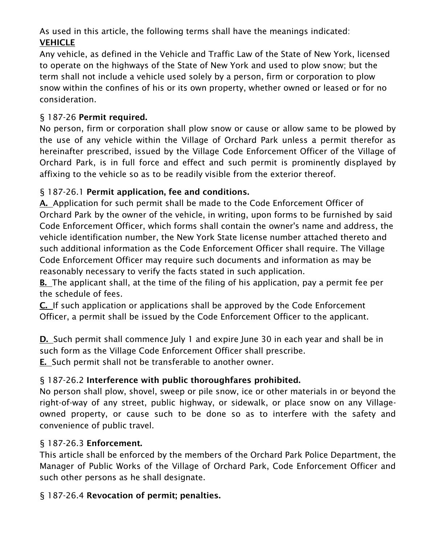As used in this article, the following terms shall have the meanings indicated: **[VEHICLE](https://ecode360.com/36105770#36105770)**

Any vehicle, as defined in the Vehicle and Traffic Law of the State of New York, licensed to operate on the highways of the State of New York and used to plow snow; but the term shall not include a vehicle used solely by a person, firm or corporation to plow snow within the confines of his or its own property, whether owned or leased or for no consideration.

# § [187-26](https://ecode360.com/13952589?highlight=snow%20plowing&searchId=4570939250775856#36105771) **[Permit required.](https://ecode360.com/13952589?highlight=snow%20plowing&searchId=4570939250775856#36105771)**

No person, firm or corporation shall plow snow or cause or allow same to be plowed by the use of any vehicle within the Village of Orchard Park unless a permit therefor as hereinafter prescribed, issued by the Village Code Enforcement Officer of the Village of Orchard Park, is in full force and effect and such permit is prominently displayed by affixing to the vehicle so as to be readily visible from the exterior thereof.

# § [187-26.1](https://ecode360.com/13952589?highlight=snow%20plowing&searchId=4570939250775856#36105772) **[Permit application, fee and conditions.](https://ecode360.com/13952589?highlight=snow%20plowing&searchId=4570939250775856#36105772)**

**[A.](https://ecode360.com/36105773#36105773)** Application for such permit shall be made to the Code Enforcement Officer of Orchard Park by the owner of the vehicle, in writing, upon forms to be furnished by said Code Enforcement Officer, which forms shall contain the owner's name and address, the vehicle identification number, the New York State license number attached thereto and such additional information as the Code Enforcement Officer shall require. The Village Code Enforcement Officer may require such documents and information as may be reasonably necessary to verify the facts stated in such application.

**[B.](https://ecode360.com/36105774#36105774)** The applicant shall, at the time of the filing of his application, pay a permit fee per the schedule of fees.

**[C.](https://ecode360.com/36105775#36105775)** If such application or applications shall be approved by the Code Enforcement Officer, a permit shall be issued by the Code Enforcement Officer to the applicant.

**[D.](https://ecode360.com/36105776#36105776)** Such permit shall commence July 1 and expire June 30 in each year and shall be in such form as the Village Code Enforcement Officer shall prescribe.

**[E.](https://ecode360.com/36105777#36105777)** Such permit shall not be transferable to another owner.

## § [187-26.2](https://ecode360.com/13952589?highlight=snow%20plowing&searchId=4570939250775856#36105778) **[Interference with public thoroughfares prohibited.](https://ecode360.com/13952589?highlight=snow%20plowing&searchId=4570939250775856#36105778)**

No person shall plow, shovel, sweep or pile snow, ice or other materials in or beyond the right-of-way of any street, public highway, or sidewalk, or place snow on any Villageowned property, or cause such to be done so as to interfere with the safety and convenience of public travel.

## § [187-26.3](https://ecode360.com/13952589?highlight=snow%20plowing&searchId=4570939250775856#36105779) **[Enforcement.](https://ecode360.com/13952589?highlight=snow%20plowing&searchId=4570939250775856#36105779)**

This article shall be enforced by the members of the Orchard Park Police Department, the Manager of Public Works of the Village of Orchard Park, Code Enforcement Officer and such other persons as he shall designate.

## § [187-26.4](https://ecode360.com/13952589?highlight=snow%20plowing&searchId=4570939250775856#36105780) **[Revocation of permit; penalties.](https://ecode360.com/13952589?highlight=snow%20plowing&searchId=4570939250775856#36105780)**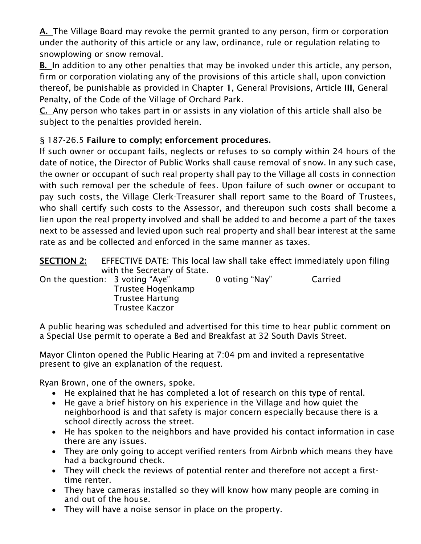**[A.](https://ecode360.com/36105781#36105781)** The Village Board may revoke the permit granted to any person, firm or corporation under the authority of this article or any law, ordinance, rule or regulation relating to snowplowing or snow removal.

**[B.](https://ecode360.com/36105782#36105782)** In addition to any other penalties that may be invoked under this article, any person, firm or corporation violating any of the provisions of this article shall, upon conviction thereof, be punishable as provided in Chapter **[1](https://ecode360.com/13994864#13994864)**, General Provisions, Article **[III](https://ecode360.com/11454123#11454123)**, General Penalty, of the Code of the Village of Orchard Park.

**[C.](https://ecode360.com/36105783#36105783)** Any person who takes part in or assists in any violation of this article shall also be subject to the penalties provided herein.

# § [187-26.5](https://ecode360.com/13952589?highlight=snow%20plowing&searchId=4570939250775856#36105784) **[Failure to comply; enforcement procedures.](https://ecode360.com/13952589?highlight=snow%20plowing&searchId=4570939250775856#36105784)**

If such owner or occupant fails, neglects or refuses to so comply within 24 hours of the date of notice, the Director of Public Works shall cause removal of snow. In any such case, the owner or occupant of such real property shall pay to the Village all costs in connection with such removal per the schedule of fees. Upon failure of such owner or occupant to pay such costs, the Village Clerk-Treasurer shall report same to the Board of Trustees, who shall certify such costs to the Assessor, and thereupon such costs shall become a lien upon the real property involved and shall be added to and become a part of the taxes next to be assessed and levied upon such real property and shall bear interest at the same rate as and be collected and enforced in the same manner as taxes.

| <b>SECTION 2:</b> | <b>EFFECTIVE DATE: This local law shall take effect immediately upon filing</b> |                |         |  |
|-------------------|---------------------------------------------------------------------------------|----------------|---------|--|
|                   | with the Secretary of State.                                                    |                |         |  |
|                   | On the question: 3 voting "Aye"<br>Trustee Hogenkamp                            | 0 voting "Nay" | Carried |  |
|                   | <b>Trustee Hartung</b><br><b>Trustee Kaczor</b>                                 |                |         |  |

A public hearing was scheduled and advertised for this time to hear public comment on a Special Use permit to operate a Bed and Breakfast at 32 South Davis Street.

Mayor Clinton opened the Public Hearing at 7:04 pm and invited a representative present to give an explanation of the request.

Ryan Brown, one of the owners, spoke.

- He explained that he has completed a lot of research on this type of rental.
- He gave a brief history on his experience in the Village and how quiet the neighborhood is and that safety is major concern especially because there is a school directly across the street.
- He has spoken to the neighbors and have provided his contact information in case there are any issues.
- They are only going to accept verified renters from Airbnb which means they have had a background check.
- They will check the reviews of potential renter and therefore not accept a firsttime renter.
- They have cameras installed so they will know how many people are coming in and out of the house.
- They will have a noise sensor in place on the property.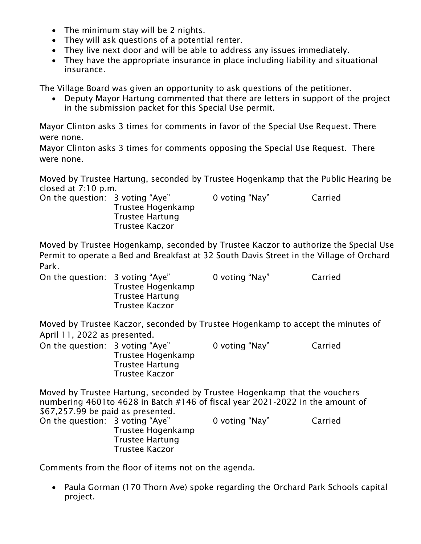- The minimum stay will be 2 nights.
- They will ask questions of a potential renter.
- They live next door and will be able to address any issues immediately.
- They have the appropriate insurance in place including liability and situational insurance.

The Village Board was given an opportunity to ask questions of the petitioner.

• Deputy Mayor Hartung commented that there are letters in support of the project in the submission packet for this Special Use permit.

Mayor Clinton asks 3 times for comments in favor of the Special Use Request. There were none.

Mayor Clinton asks 3 times for comments opposing the Special Use Request. There were none.

Moved by Trustee Hartung, seconded by Trustee Hogenkamp that the Public Hearing be closed at 7:10 p.m.

On the question: 3 voting "Aye" 0 voting "Nay" Carried Trustee Hogenkamp Trustee Hartung Trustee Kaczor

Moved by Trustee Hogenkamp, seconded by Trustee Kaczor to authorize the Special Use Permit to operate a Bed and Breakfast at 32 South Davis Street in the Village of Orchard Park.

On the question: 3 voting "Aye" 0 voting "Nay" Carried Trustee Hogenkamp Trustee Hartung Trustee Kaczor

Moved by Trustee Kaczor, seconded by Trustee Hogenkamp to accept the minutes of April 11, 2022 as presented.

| On the question: 3 voting "Aye" |                        | 0 voting "Nay" | Carried |
|---------------------------------|------------------------|----------------|---------|
|                                 | Trustee Hogenkamp      |                |         |
|                                 | <b>Trustee Hartung</b> |                |         |
|                                 | <b>Trustee Kaczor</b>  |                |         |

Moved by Trustee Hartung, seconded by Trustee Hogenkamp that the vouchers numbering 4601to 4628 in Batch #146 of fiscal year 2021-2022 in the amount of \$67,257.99 be paid as presented.

| On the question: 3 voting "Aye" |                        | 0 voting "Nay" | Carried |
|---------------------------------|------------------------|----------------|---------|
|                                 | Trustee Hogenkamp      |                |         |
|                                 | <b>Trustee Hartung</b> |                |         |
|                                 | Trustee Kaczor         |                |         |

Comments from the floor of items not on the agenda.

• Paula Gorman (170 Thorn Ave) spoke regarding the Orchard Park Schools capital project.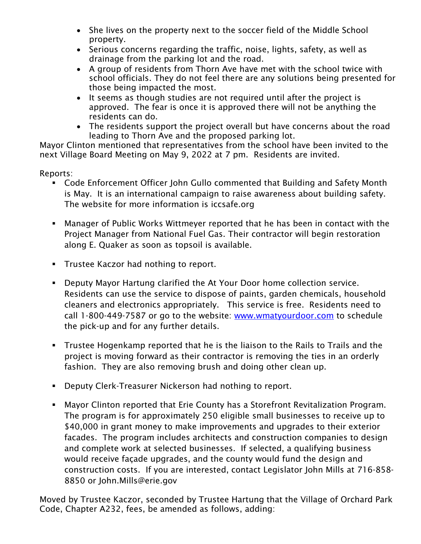- She lives on the property next to the soccer field of the Middle School property.
- Serious concerns regarding the traffic, noise, lights, safety, as well as drainage from the parking lot and the road.
- A group of residents from Thorn Ave have met with the school twice with school officials. They do not feel there are any solutions being presented for those being impacted the most.
- It seems as though studies are not required until after the project is approved. The fear is once it is approved there will not be anything the residents can do.
- The residents support the project overall but have concerns about the road leading to Thorn Ave and the proposed parking lot.

Mayor Clinton mentioned that representatives from the school have been invited to the next Village Board Meeting on May 9, 2022 at 7 pm. Residents are invited.

Reports:

- Code Enforcement Officer John Gullo commented that Building and Safety Month is May. It is an international campaign to raise awareness about building safety. The website for more information is iccsafe.org
- Manager of Public Works Wittmeyer reported that he has been in contact with the Project Manager from National Fuel Gas. Their contractor will begin restoration along E. Quaker as soon as topsoil is available.
- **•** Trustee Kaczor had nothing to report.
- Deputy Mayor Hartung clarified the At Your Door home collection service. Residents can use the service to dispose of paints, garden chemicals, household cleaners and electronics appropriately. This service is free. Residents need to call 1-800-449-7587 or go to the website: [www.wmatyourdoor.com](http://www.wmatyourdoor.com/) to schedule the pick-up and for any further details.
- Trustee Hogenkamp reported that he is the liaison to the Rails to Trails and the project is moving forward as their contractor is removing the ties in an orderly fashion. They are also removing brush and doing other clean up.
- Deputy Clerk-Treasurer Nickerson had nothing to report.
- Mayor Clinton reported that Erie County has a Storefront Revitalization Program. The program is for approximately 250 eligible small businesses to receive up to \$40,000 in grant money to make improvements and upgrades to their exterior facades. The program includes architects and construction companies to design and complete work at selected businesses. If selected, a qualifying business would receive façade upgrades, and the county would fund the design and construction costs. If you are interested, contact Legislator John Mills at 716-858- 8850 or John.Mills@erie.gov

Moved by Trustee Kaczor, seconded by Trustee Hartung that the Village of Orchard Park Code, Chapter A232, fees, be amended as follows, adding: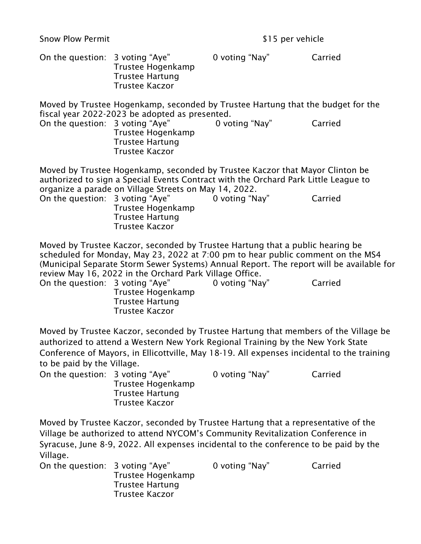Snow Plow Permit 315 per vehicle

| On the question: 3 voting "Aye"                                                                                                                                                                                                                                                                    | Trustee Hogenkamp<br><b>Trustee Hartung</b><br><b>Trustee Kaczor</b>                                                                                                                                                                                                                                                                                                                            | 0 voting "Nay" | Carried |  |
|----------------------------------------------------------------------------------------------------------------------------------------------------------------------------------------------------------------------------------------------------------------------------------------------------|-------------------------------------------------------------------------------------------------------------------------------------------------------------------------------------------------------------------------------------------------------------------------------------------------------------------------------------------------------------------------------------------------|----------------|---------|--|
| On the question: 3 voting "Aye"                                                                                                                                                                                                                                                                    | Moved by Trustee Hogenkamp, seconded by Trustee Hartung that the budget for the<br>fiscal year 2022-2023 be adopted as presented.<br>Trustee Hogenkamp<br><b>Trustee Hartung</b><br><b>Trustee Kaczor</b>                                                                                                                                                                                       | 0 voting "Nay" | Carried |  |
|                                                                                                                                                                                                                                                                                                    | Moved by Trustee Hogenkamp, seconded by Trustee Kaczor that Mayor Clinton be<br>authorized to sign a Special Events Contract with the Orchard Park Little League to<br>organize a parade on Village Streets on May 14, 2022.<br>On the question: 3 voting "Aye"<br>Trustee Hogenkamp<br><b>Trustee Hartung</b><br><b>Trustee Kaczor</b>                                                         | 0 voting "Nay" | Carried |  |
| On the question: 3 voting "Aye"                                                                                                                                                                                                                                                                    | Moved by Trustee Kaczor, seconded by Trustee Hartung that a public hearing be<br>scheduled for Monday, May 23, 2022 at 7:00 pm to hear public comment on the MS4<br>(Municipal Separate Storm Sewer Systems) Annual Report. The report will be available for<br>review May 16, 2022 in the Orchard Park Village Office.<br>Trustee Hogenkamp<br><b>Trustee Hartung</b><br><b>Trustee Kaczor</b> | 0 voting "Nay" | Carried |  |
| Moved by Trustee Kaczor, seconded by Trustee Hartung that members of the Village be<br>authorized to attend a Western New York Regional Training by the New York State<br>Conference of Mayors, in Ellicottville, May 18-19. All expenses incidental to the training<br>to be paid by the Village. |                                                                                                                                                                                                                                                                                                                                                                                                 |                |         |  |
| On the question: 3 voting "Aye"                                                                                                                                                                                                                                                                    | Trustee Hogenkamp<br><b>Trustee Hartung</b><br><b>Trustee Kaczor</b>                                                                                                                                                                                                                                                                                                                            | 0 voting "Nay" | Carried |  |
| Moved by Trustee Kaczor, seconded by Trustee Hartung that a representative of the<br>Village be authorized to attend NYCOM's Community Revitalization Conference in<br>Syracuse, June 8-9, 2022. All expenses incidental to the conference to be paid by the                                       |                                                                                                                                                                                                                                                                                                                                                                                                 |                |         |  |

Village. On the question: 3 voting "Aye" 0 voting "Nay" Carried Trustee Hogenkamp Trustee Hartung Trustee Kaczor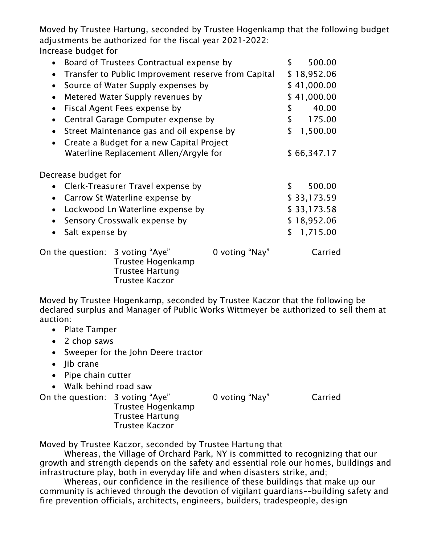Moved by Trustee Hartung, seconded by Trustee Hogenkamp that the following budget adjustments be authorized for the fiscal year 2021-2022: Increase budget for

| • Board of Trustees Contractual expense by |                                                        |                | \$<br>500.00   |
|--------------------------------------------|--------------------------------------------------------|----------------|----------------|
| $\bullet$                                  | Transfer to Public Improvement reserve from Capital    |                | \$18,952.06    |
| $\bullet$                                  | Source of Water Supply expenses by                     |                | \$41,000.00    |
| $\bullet$                                  | Metered Water Supply revenues by                       |                | \$41,000.00    |
| $\bullet$                                  | Fiscal Agent Fees expense by                           |                | \$<br>40.00    |
|                                            | Central Garage Computer expense by                     |                | \$<br>175.00   |
| $\bullet$                                  | Street Maintenance gas and oil expense by              |                | \$<br>1,500.00 |
| $\bullet$                                  | Create a Budget for a new Capital Project              |                |                |
|                                            | Waterline Replacement Allen/Argyle for                 |                | \$66,347.17    |
| Decrease budget for                        |                                                        |                |                |
|                                            | • Clerk-Treasurer Travel expense by                    |                | \$<br>500.00   |
| $\bullet$                                  | Carrow St Waterline expense by                         |                | \$33,173.59    |
| $\bullet$                                  | Lockwood Ln Waterline expense by                       |                | \$33,173.58    |
| $\bullet$                                  | Sensory Crosswalk expense by                           |                | \$18,952.06    |
| Salt expense by                            |                                                        |                | \$<br>1,715.00 |
| On the question: 3 voting "Aye"            | Trustee Hogenkamp<br>Trustee Hartung<br>Trustee Kaczor | 0 voting "Nay" | Carried        |

Moved by Trustee Hogenkamp, seconded by Trustee Kaczor that the following be declared surplus and Manager of Public Works Wittmeyer be authorized to sell them at auction:

- Plate Tamper
- 2 chop saws
- Sweeper for the John Deere tractor
- lib crane
- Pipe chain cutter
- Walk behind road saw

On the question: 3 voting "Aye" 0 voting "Nay" Carried Trustee Hogenkamp Trustee Hartung Trustee Kaczor

Moved by Trustee Kaczor, seconded by Trustee Hartung that

Whereas, the Village of Orchard Park, NY is committed to recognizing that our growth and strength depends on the safety and essential role our homes, buildings and infrastructure play, both in everyday life and when disasters strike, and;

Whereas, our confidence in the resilience of these buildings that make up our community is achieved through the devotion of vigilant guardians––building safety and fire prevention officials, architects, engineers, builders, tradespeople, design